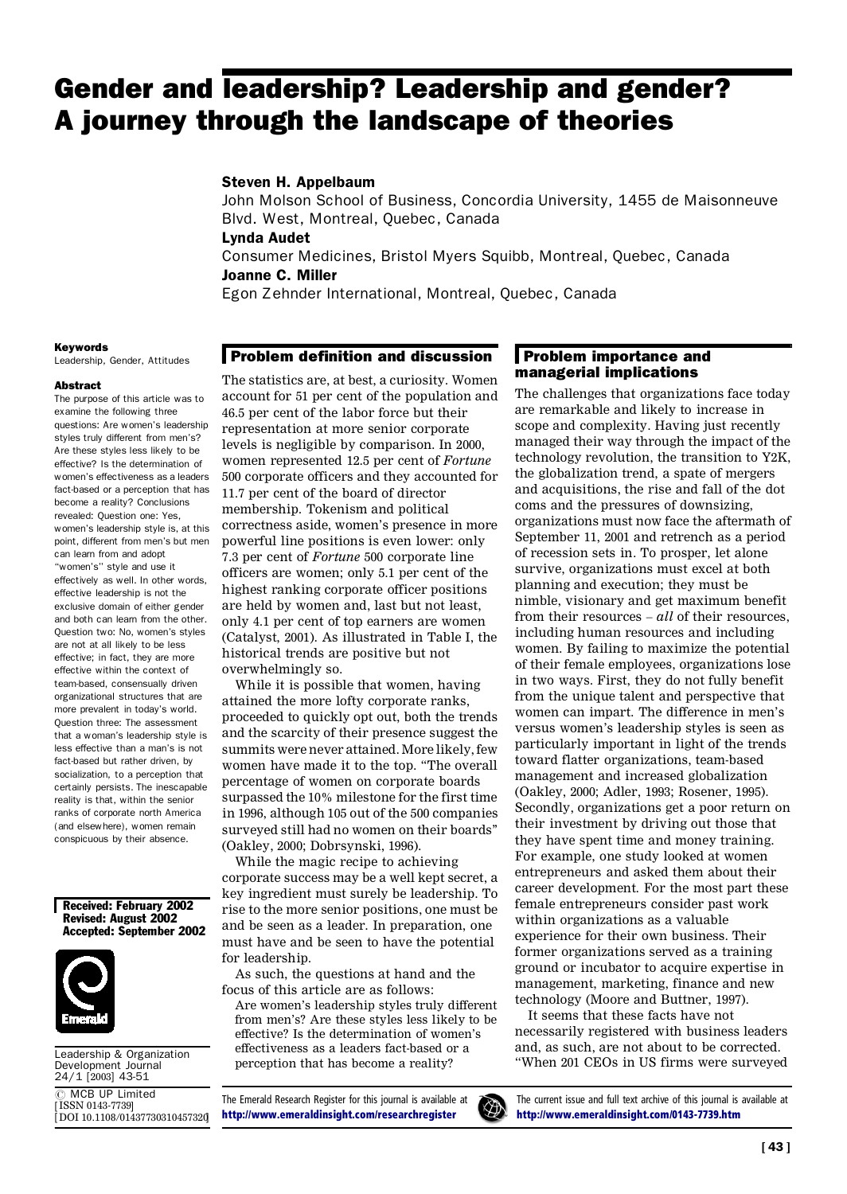# **Gender and leadership? Leadership and gender? A journey through the landscape of theories**

# Steven H. Appelbaum

John Molson School of Business, Concordia University, 1455 de Maisonneuve Blvd. West, Montreal, Quebec, Canada

Lynda Audet

Consumer Medicines, Bristol Myers Squibb, Montreal, Quebec, Canada Joanne C. Miller

Egon Zehnder International, Montreal, Quebec, Canada

#### **Keywords**

Leadership, Gender, Attitudes

#### **Abstract**

The purpose of this article was to examine the following three questions: Are women's leadership styles truly different from men's? Are these styles less likely to be effective? Is the determination of women's effectiveness as a leaders fact-based or a perception that has become a reality? Conclusions revealed: Question one: Yes, women's leadership style is, at this point, different from men's but men can learn from and adopt "women's" style and use it effectively as well. In other words, effective leadership is not the exclusive domain of either gender and both can learn from the other. Question two: No, women's styles are not at all likely to be less effective; in fact, they are more effective within the context of team-based, consensually driven organizational structures that are more prevalent in today's world. Question three: The assessment that a woman's leadership style is less effective than a man's is not fact-based but rather driven, by socialization, to a perception that certainly persists. The inescapable reality is that, within the senior ranks of corporate north America (and elsewhere), women remain conspicuous by their absence.

#### Received: February 2002 Revised: August 2002 Accepted: September 2002



Leadership & Organization Development Journal 24/1 [2003] 43-51

MCB UP Limited [ISSN 0143-7739] [DOI 10.1108/01437730310457320]

# **Problem definition and discussion**

The statistics are, at best, a curiosity. Women account for 51 per cent of the population and 46.5 per cent of the labor force but their representation at more senior corporate levels is negligible by comparison. In 2000, women represented 12.5 per cent of *Fortune* 500 corporate officers and they accounted for 11.7 per cent of the board of director membership. Tokenism and political correctness aside, women's presence in more powerful line positions is even lower: only 7.3 per cent of *Fortune* 500 corporate line officers are women; only 5.1 per cent of the highest ranking corporate officer positions are held by women and, last but not least, only 4.1 per cent of top earners are women (Catalyst, 2001). As illustrated in Table I, the historical trends are positive but not overwhelmingly so.

While it is possible that women, having attained the more lofty corporate ranks, proceeded to quickly opt out, both the trends and the scarcity of their presence suggest the summits were never attained. More likely, few women have made it to the top. "The overall percentage of women on corporate boards surpassed the 10% milestone for the first time in 1996, although 105 out of the 500 companies surveyed still had no women on their boards'' (Oakley, 2000; Dobrsynski, 1996).

While the magic recipe to achieving corporate success may be a well kept secret, a key ingredient must surely be leadership. To rise to the more senior positions, one must be and be seen as a leader. In preparation, one must have and be seen to have the potential for leadership.

As such, the questions at hand and the focus of this article are as follows:

Are women's leadership styles truly different from men's? Are these styles less likely to be effective? Is the determination of women's effectiveness as a leaders fact-based or a perception that has become a reality?

The Emerald Research Register for this journal is available at <http://www.emeraldinsight.com/researchregister>

**Problem importance and managerial implications**

The challenges that organizations face today are remarkable and likely to increase in scope and complexity. Having just recently managed their way through the impact of the technology revolution, the transition to Y2K, the globalization trend, a spate of mergers and acquisitions, the rise and fall of the dot coms and the pressures of downsizing, organizations must now face the aftermath of September 11, 2001 and retrench as a period of recession sets in. To prosper, let alone survive, organizations must excel at both planning and execution; they must be nimble, visionary and get maximum benefit from their resources  $-$  *all* of their resources. including human resources and including women. By failing to maximize the potential of their female employees, organizations lose in two ways. First, they do not fully benefit from the unique talent and perspective that women can impart. The difference in men's versus women's leadership styles is seen as particularly important in light of the trends toward flatter organizations, team-based management and increased globalization (Oakley, 2000; Adler, 1993; Rosener, 1995). Secondly, organizations get a poor return on their investment by driving out those that they have spent time and money training. For example, one study looked at women entrepreneurs and asked them about their career development. For the most part these female entrepreneurs consider past work within organizations as a valuable experience for their own business. Their former organizations served as a training ground or incubator to acquire expertise in management, marketing, finance and new technology (Moore and Buttner, 1997).

It seems that these facts have not necessarily registered with business leaders and, as such, are not about to be corrected. ``When 201 CEOs in US firms were surveyed

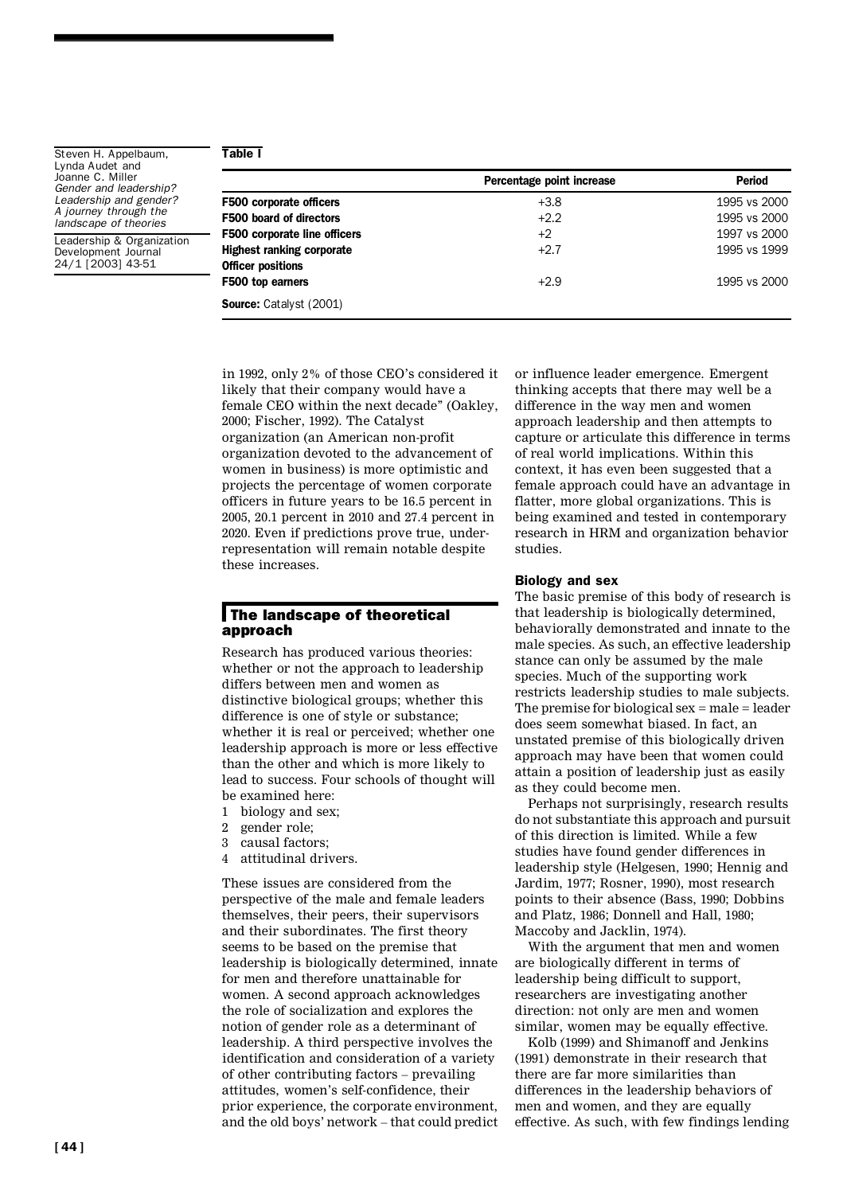#### Table I

Steven H. Appelbaum, Lynda Audet and Joanne C. Miller *Gender and leadership? Leadership and gender? A journey through the landscape of theories*

Leadership & Organization Development Journal 24/1 [2003] 43-51

|                                                              | Percentage point increase | <b>Period</b> |
|--------------------------------------------------------------|---------------------------|---------------|
| F500 corporate officers                                      | $+3.8$                    | 1995 vs 2000  |
| F500 board of directors                                      | $+2.2$                    | 1995 vs 2000  |
| F500 corporate line officers                                 | $+2$                      | 1997 vs 2000  |
| <b>Highest ranking corporate</b><br><b>Officer positions</b> | $+2.7$                    | 1995 vs 1999  |
| F500 top earners                                             | $+2.9$                    | 1995 ys 2000  |
| <b>Source: Catalyst (2001)</b>                               |                           |               |

in 1992, only 2% of those CEO's considered it likely that their company would have a female CEO within the next decade'' (Oakley, 2000; Fischer, 1992). The Catalyst organization (an American non-profit organization devoted to the advancement of women in business) is more optimistic and projects the percentage of women corporate officers in future years to be 16.5 percent in 2005, 20.1 percent in 2010 and 27.4 percent in 2020. Even if predictions prove true, underrepresentation will remain notable despite these increases.

## **The landscape of theoretical approach**

Research has produced various theories: whether or not the approach to leadership differs between men and women as distinctive biological groups; whether this difference is one of style or substance; whether it is real or perceived; whether one leadership approach is more or less effective than the other and which is more likely to lead to success. Four schools of thought will be examined here:

- 1 biology and sex;
- 2 gender role;
- 3 causal factors;
- 4 attitudinal drivers.

These issues are considered from the perspective of the male and female leaders themselves, their peers, their supervisors and their subordinates. The first theory seems to be based on the premise that leadership is biologically determined, innate for men and therefore unattainable for women. A second approach acknowledges the role of socialization and explores the notion of gender role as a determinant of leadership. A third perspective involves the identification and consideration of a variety of other contributing factors - prevailing attitudes, women's self-confidence, their prior experience, the corporate environment, and the old boys' network – that could predict or influence leader emergence. Emergent thinking accepts that there may well be a difference in the way men and women approach leadership and then attempts to capture or articulate this difference in terms of real world implications. Within this context, it has even been suggested that a female approach could have an advantage in flatter, more global organizations. This is being examined and tested in contemporary research in HRM and organization behavior studies.

#### Biology and sex

The basic premise of this body of research is that leadership is biologically determined, behaviorally demonstrated and innate to the male species. As such, an effective leadership stance can only be assumed by the male species. Much of the supporting work restricts leadership studies to male subjects. The premise for biological sex  $=$  male  $=$  leader does seem somewhat biased. In fact, an unstated premise of this biologically driven approach may have been that women could attain a position of leadership just as easily as they could become men.

Perhaps not surprisingly, research results do not substantiate this approach and pursuit of this direction is limited. While a few studies have found gender differences in leadership style (Helgesen, 1990; Hennig and Jardim, 1977; Rosner, 1990), most research points to their absence (Bass, 1990; Dobbins and Platz, 1986; Donnell and Hall, 1980; Maccoby and Jacklin, 1974).

With the argument that men and women are biologically different in terms of leadership being difficult to support, researchers are investigating another direction: not only are men and women similar, women may be equally effective.

Kolb (1999) and Shimanoff and Jenkins (1991) demonstrate in their research that there are far more similarities than differences in the leadership behaviors of men and women, and they are equally effective. As such, with few findings lending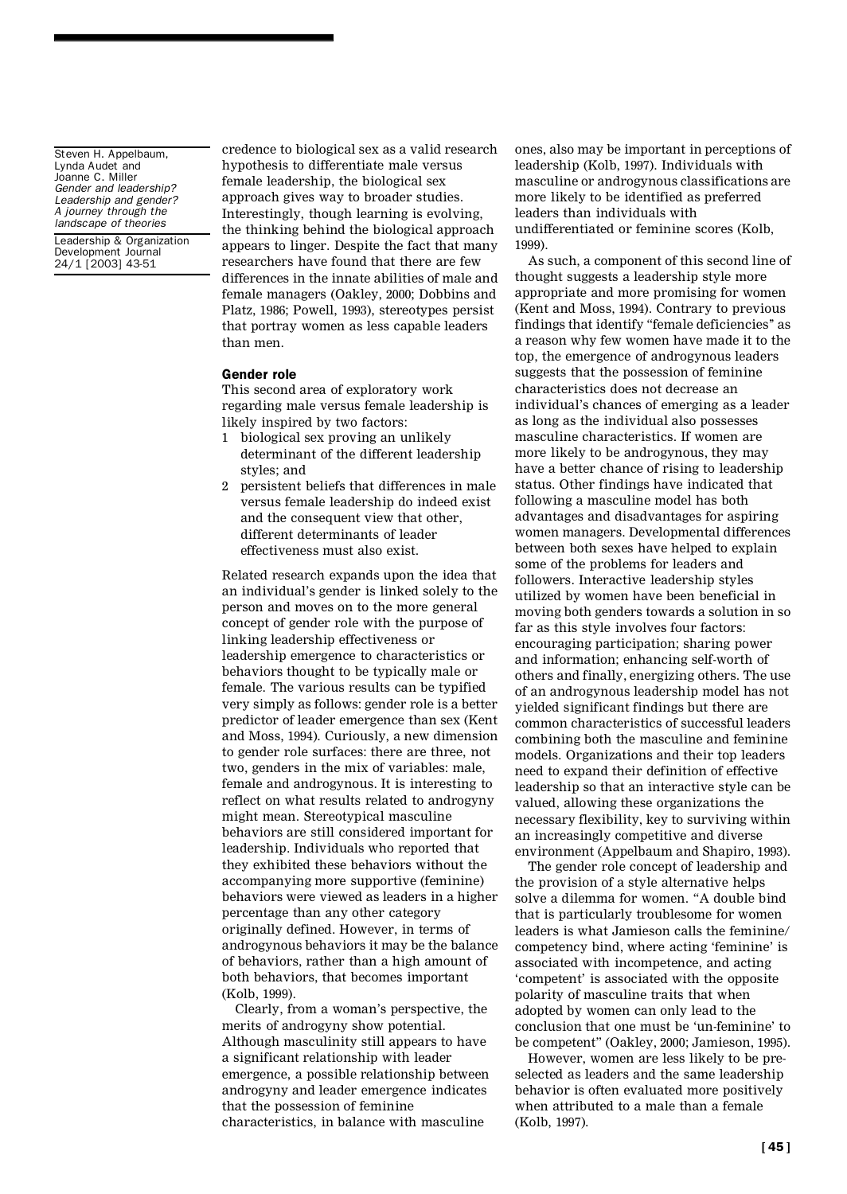Leadership & Organization Development Journal 24/1 [2003] 43-51

credence to biological sex as a valid research hypothesis to differentiate male versus female leadership, the biological sex approach gives way to broader studies. Interestingly, though learning is evolving, the thinking behind the biological approach appears to linger. Despite the fact that many researchers have found that there are few differences in the innate abilities of male and female managers (Oakley, 2000; Dobbins and Platz, 1986; Powell, 1993), stereotypes persist that portray women as less capable leaders than men.

#### Gender role

This second area of exploratory work regarding male versus female leadership is likely inspired by two factors:

- 1 biological sex proving an unlikely determinant of the different leadership styles; and
- 2 persistent beliefs that differences in male versus female leadership do indeed exist and the consequent view that other, different determinants of leader effectiveness must also exist.

Related research expands upon the idea that an individual's gender is linked solely to the person and moves on to the more general concept of gender role with the purpose of linking leadership effectiveness or leadership emergence to characteristics or behaviors thought to be typically male or female. The various results can be typified very simply as follows: gender role is a better predictor of leader emergence than sex (Kent and Moss, 1994). Curiously, a new dimension to gender role surfaces: there are three, not two, genders in the mix of variables: male, female and androgynous. It is interesting to reflect on what results related to androgyny might mean. Stereotypical masculine behaviors are still considered important for leadership. Individuals who reported that they exhibited these behaviors without the accompanying more supportive (feminine) behaviors were viewed as leaders in a higher percentage than any other category originally defined. However, in terms of androgynous behaviors it may be the balance of behaviors, rather than a high amount of both behaviors, that becomes important (Kolb, 1999).

Clearly, from a woman's perspective, the merits of androgyny show potential. Although masculinity still appears to have a significant relationship with leader emergence, a possible relationship between androgyny and leader emergence indicates that the possession of feminine characteristics, in balance with masculine

ones, also may be important in perceptions of leadership (Kolb, 1997). Individuals with masculine or androgynous classifications are more likely to be identified as preferred leaders than individuals with undifferentiated or feminine scores (Kolb, 1999).

As such, a component of this second line of thought suggests a leadership style more appropriate and more promising for women (Kent and Moss, 1994). Contrary to previous findings that identify "female deficiencies" as a reason why few women have made it to the top, the emergence of androgynous leaders suggests that the possession of feminine characteristics does not decrease an individual's chances of emerging as a leader as long as the individual also possesses masculine characteristics. If women are more likely to be androgynous, they may have a better chance of rising to leadership status. Other findings have indicated that following a masculine model has both advantages and disadvantages for aspiring women managers. Developmental differences between both sexes have helped to explain some of the problems for leaders and followers. Interactive leadership styles utilized by women have been beneficial in moving both genders towards a solution in so far as this style involves four factors: encouraging participation; sharing power and information; enhancing self-worth of others and finally, energizing others. The use of an androgynous leadership model has not yielded significant findings but there are common characteristics of successful leaders combining both the masculine and feminine models. Organizations and their top leaders need to expand their definition of effective leadership so that an interactive style can be valued, allowing these organizations the necessary flexibility, key to surviving within an increasingly competitive and diverse environment (Appelbaum and Shapiro, 1993).

The gender role concept of leadership and the provision of a style alternative helps solve a dilemma for women. "A double bind that is particularly troublesome for women leaders is what Jamieson calls the feminine/ competency bind, where acting 'feminine' is associated with incompetence, and acting `competent' is associated with the opposite polarity of masculine traits that when adopted by women can only lead to the conclusion that one must be `un-feminine' to be competent'' (Oakley, 2000; Jamieson, 1995).

However, women are less likely to be preselected as leaders and the same leadership behavior is often evaluated more positively when attributed to a male than a female (Kolb, 1997).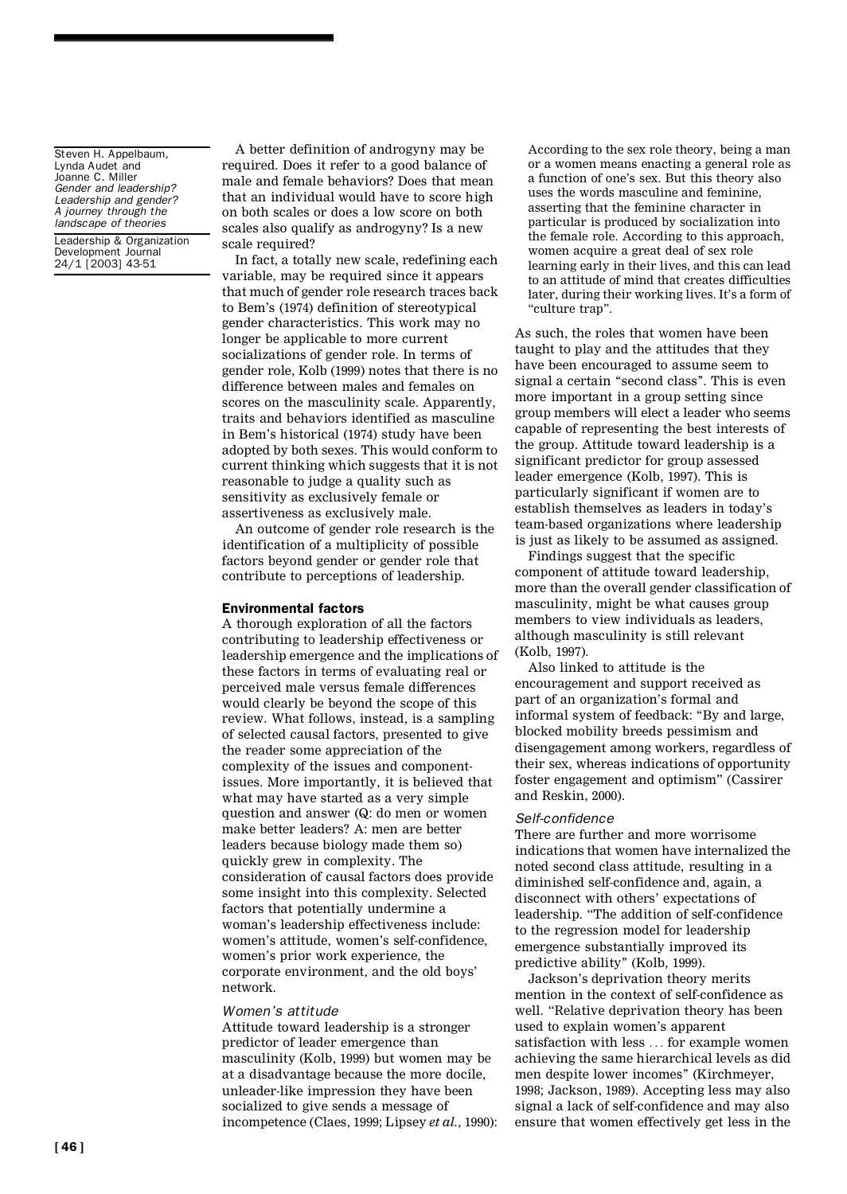Leadership & Organization Development Journal 24/1 [2003] 43-51

A better definition of androgyny may be required. Does it refer to a good balance of male and female behaviors? Does that mean that an individual would have to score high on both scales or does a low score on both scales also qualify as androgyny? Is a new scale required?

In fact, a totally new scale, redefining each variable, may be required since it appears that much of gender role research traces back to Bem's (1974) definition of stereotypical gender characteristics. This work may no longer be applicable to more current socializations of gender role. In terms of gender role, Kolb (1999) notes that there is no difference between males and females on scores on the masculinity scale. Apparently, traits and behaviors identified as masculine in Bem's historical (1974) study have been adopted by both sexes. This would conform to current thinking which suggests that it is not reasonable to judge a quality such as sensitivity as exclusively female or assertiveness as exclusively male.

An outcome of gender role research is the identification of a multiplicity of possible factors beyond gender or gender role that contribute to perceptions of leadership.

#### Environmental factors

A thorough exploration of all the factors contributing to leadership effectiveness or leadership emergence and the implications of these factors in terms of evaluating real or perceived male versus female differences would clearly be beyond the scope of this review. What follows, instead, is a sampling of selected causal factors, presented to give the reader some appreciation of the complexity of the issues and componentissues. More importantly, it is believed that what may have started as a very simple question and answer (Q: do men or women make better leaders? A: men are better leaders because biology made them so) quickly grew in complexity. The consideration of causal factors does provide some insight into this complexity. Selected factors that potentially undermine a woman's leadership effectiveness include: women's attitude, women's self-confidence, women's prior work experience, the corporate environment, and the old boys' network.

#### *Women's attitude*

Attitude toward leadership is a stronger predictor of leader emergence than masculinity (Kolb, 1999) but women may be at a disadvantage because the more docile, unleader-like impression they have been socialized to give sends a message of incompetence (Claes, 1999; Lipsey *et al.*, 1990): According to the sex role theory, being a man or a women means enacting a general role as a function of one's sex. But this theory also uses the words masculine and feminine, asserting that the feminine character in particular is produced by socialization into the female role. According to this approach, women acquire a great deal of sex role learning early in their lives, and this can lead to an attitude of mind that creates difficulties later, during their working lives. It's a form of ``culture trap''.

As such, the roles that women have been taught to play and the attitudes that they have been encouraged to assume seem to signal a certain "second class". This is even more important in a group setting since group members will elect a leader who seems capable of representing the best interests of the group. Attitude toward leadership is a significant predictor for group assessed leader emergence (Kolb, 1997). This is particularly significant if women are to establish themselves as leaders in today's team-based organizations where leadership is just as likely to be assumed as assigned.

Findings suggest that the specific component of attitude toward leadership, more than the overall gender classification of masculinity, might be what causes group members to view individuals as leaders, although masculinity is still relevant (Kolb, 1997).

Also linked to attitude is the encouragement and support received as part of an organization's formal and informal system of feedback: "By and large, blocked mobility breeds pessimism and disengagement among workers, regardless of their sex, whereas indications of opportunity foster engagement and optimism'' (Cassirer and Reskin, 2000).

#### *Self-confidence*

There are further and more worrisome indications that women have internalized the noted second class attitude, resulting in a diminished self-confidence and, again, a disconnect with others' expectations of leadership. "The addition of self-confidence to the regression model for leadership emergence substantially improved its predictive ability'' (Kolb, 1999).

Jackson's deprivation theory merits mention in the context of self-confidence as well. "Relative deprivation theory has been used to explain women's apparent satisfaction with less ... for example women achieving the same hierarchical levels as did men despite lower incomes'' (Kirchmeyer, 1998; Jackson, 1989). Accepting less may also signal a lack of self-confidence and may also ensure that women effectively get less in the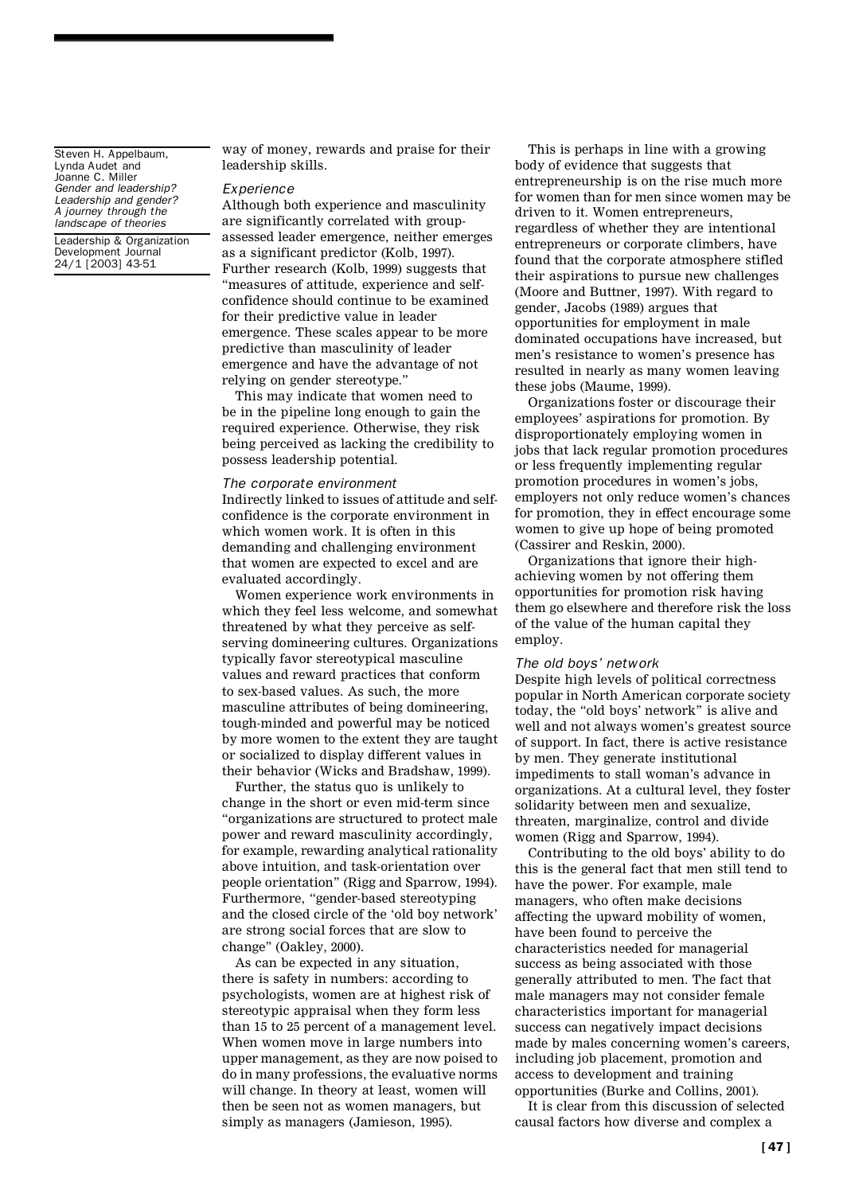Leadership & Organization Development Journal 24/1 [2003] 43-51

way of money, rewards and praise for their leadership skills.

# *Experience*

Although both experience and masculinity are significantly correlated with groupassessed leader emergence, neither emerges as a significant predictor (Kolb, 1997). Further research (Kolb, 1999) suggests that ``measures of attitude, experience and selfconfidence should continue to be examined for their predictive value in leader emergence. These scales appear to be more predictive than masculinity of leader emergence and have the advantage of not relying on gender stereotype.''

This may indicate that women need to be in the pipeline long enough to gain the required experience. Otherwise, they risk being perceived as lacking the credibility to possess leadership potential.

#### *The corporate environment*

Indirectly linked to issues of attitude and selfconfidence is the corporate environment in which women work. It is often in this demanding and challenging environment that women are expected to excel and are evaluated accordingly.

Women experience work environments in which they feel less welcome, and somewhat threatened by what they perceive as selfserving domineering cultures. Organizations typically favor stereotypical masculine values and reward practices that conform to sex-based values. As such, the more masculine attributes of being domineering, tough-minded and powerful may be noticed by more women to the extent they are taught or socialized to display different values in their behavior (Wicks and Bradshaw, 1999).

Further, the status quo is unlikely to change in the short or even mid-term since ``organizations are structured to protect male power and reward masculinity accordingly, for example, rewarding analytical rationality above intuition, and task-orientation over people orientation'' (Rigg and Sparrow, 1994). Furthermore, "gender-based stereotyping and the closed circle of the `old boy network' are strong social forces that are slow to change'' (Oakley, 2000).

As can be expected in any situation, there is safety in numbers: according to psychologists, women are at highest risk of stereotypic appraisal when they form less than 15 to 25 percent of a management level. When women move in large numbers into upper management, as they are now poised to do in many professions, the evaluative norms will change. In theory at least, women will then be seen not as women managers, but simply as managers (Jamieson, 1995).

This is perhaps in line with a growing body of evidence that suggests that entrepreneurship is on the rise much more for women than for men since women may be driven to it. Women entrepreneurs, regardless of whether they are intentional entrepreneurs or corporate climbers, have found that the corporate atmosphere stifled their aspirations to pursue new challenges (Moore and Buttner, 1997). With regard to gender, Jacobs (1989) argues that opportunities for employment in male dominated occupations have increased, but men's resistance to women's presence has resulted in nearly as many women leaving these jobs (Maume, 1999).

Organizations foster or discourage their employees' aspirations for promotion. By disproportionately employing women in jobs that lack regular promotion procedures or less frequently implementing regular promotion procedures in women's jobs, employers not only reduce women's chances for promotion, they in effect encourage some women to give up hope of being promoted (Cassirer and Reskin, 2000).

Organizations that ignore their highachieving women by not offering them opportunities for promotion risk having them go elsewhere and therefore risk the loss of the value of the human capital they employ.

#### *The old boys' network*

Despite high levels of political correctness popular in North American corporate society today, the "old boys' network" is alive and well and not always women's greatest source of support. In fact, there is active resistance by men. They generate institutional impediments to stall woman's advance in organizations. At a cultural level, they foster solidarity between men and sexualize, threaten, marginalize, control and divide women (Rigg and Sparrow, 1994).

Contributing to the old boys' ability to do this is the general fact that men still tend to have the power. For example, male managers, who often make decisions affecting the upward mobility of women, have been found to perceive the characteristics needed for managerial success as being associated with those generally attributed to men. The fact that male managers may not consider female characteristics important for managerial success can negatively impact decisions made by males concerning women's careers, including job placement, promotion and access to development and training opportunities (Burke and Collins, 2001).

It is clear from this discussion of selected causal factors how diverse and complex a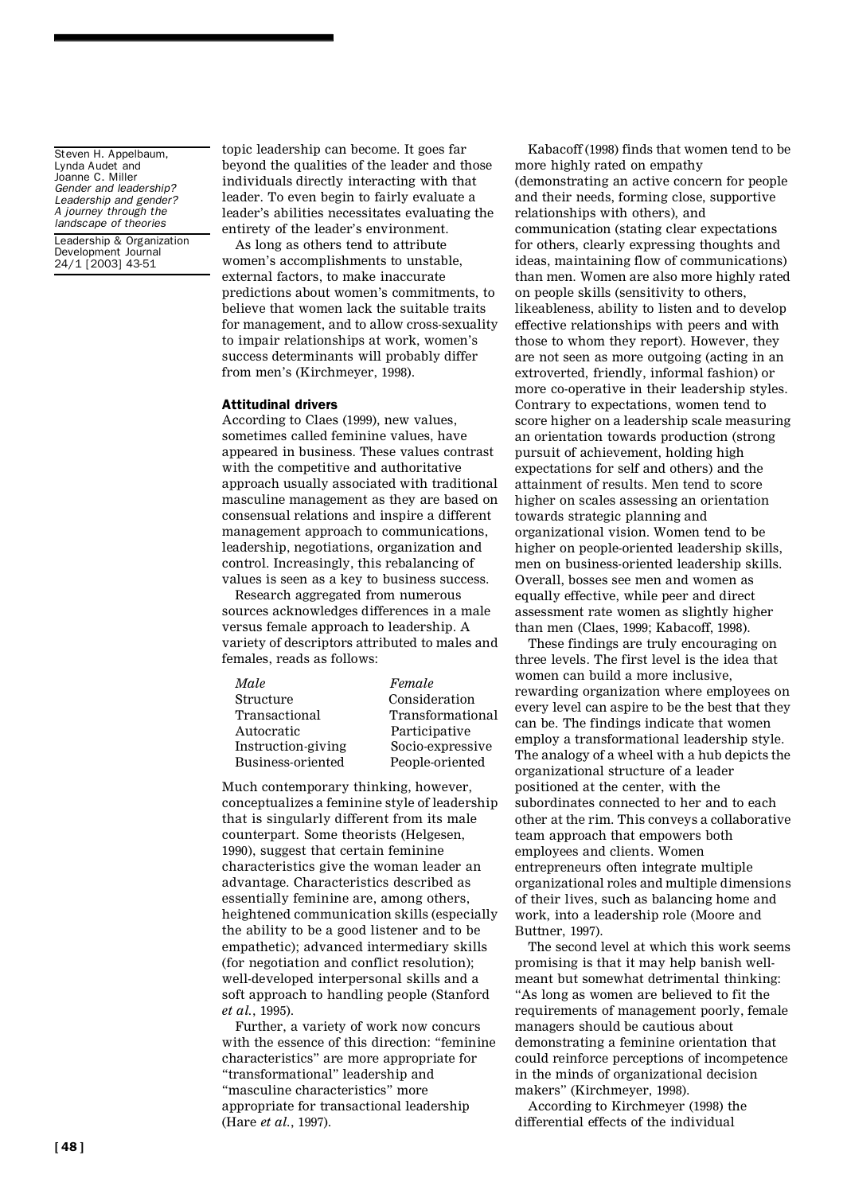Leadership & Organization Development Journal 24/1 [2003] 43-51

topic leadership can become. It goes far beyond the qualities of the leader and those individuals directly interacting with that leader. To even begin to fairly evaluate a leader's abilities necessitates evaluating the entirety of the leader's environment.

As long as others tend to attribute women's accomplishments to unstable, external factors, to make inaccurate predictions about women's commitments, to believe that women lack the suitable traits for management, and to allow cross-sexuality to impair relationships at work, women's success determinants will probably differ from men's (Kirchmeyer, 1998).

#### Attitudinal drivers

According to Claes (1999), new values, sometimes called feminine values, have appeared in business. These values contrast with the competitive and authoritative approach usually associated with traditional masculine management as they are based on consensual relations and inspire a different management approach to communications, leadership, negotiations, organization and control. Increasingly, this rebalancing of values is seen as a key to business success.

Research aggregated from numerous sources acknowledges differences in a male versus female approach to leadership. A variety of descriptors attributed to males and females, reads as follows:

| Male               | Female           |
|--------------------|------------------|
| Structure          | Consideration    |
| Transactional      | Transformational |
| Autocratic         | Participative    |
| Instruction-giving | Socio-expressive |
| Business-oriented  | People-oriented  |

Much contemporary thinking, however, conceptualizes a feminine style of leadership that is singularly different from its male counterpart. Some theorists (Helgesen, 1990), suggest that certain feminine characteristics give the woman leader an advantage. Characteristics described as essentially feminine are, among others, heightened communication skills (especially the ability to be a good listener and to be empathetic); advanced intermediary skills (for negotiation and conflict resolution); well-developed interpersonal skills and a soft approach to handling people (Stanford *et al.*, 1995).

Further, a variety of work now concurs with the essence of this direction: "feminine characteristics'' are more appropriate for ``transformational'' leadership and ``masculine characteristics'' more appropriate for transactional leadership (Hare *et al.*, 1997).

Kabacoff (1998) finds that women tend to be more highly rated on empathy (demonstrating an active concern for people and their needs, forming close, supportive relationships with others), and communication (stating clear expectations for others, clearly expressing thoughts and ideas, maintaining flow of communications) than men. Women are also more highly rated on people skills (sensitivity to others, likeableness, ability to listen and to develop effective relationships with peers and with those to whom they report). However, they are not seen as more outgoing (acting in an extroverted, friendly, informal fashion) or more co-operative in their leadership styles. Contrary to expectations, women tend to score higher on a leadership scale measuring an orientation towards production (strong pursuit of achievement, holding high expectations for self and others) and the attainment of results. Men tend to score higher on scales assessing an orientation towards strategic planning and organizational vision. Women tend to be higher on people-oriented leadership skills, men on business-oriented leadership skills. Overall, bosses see men and women as equally effective, while peer and direct assessment rate women as slightly higher than men (Claes, 1999; Kabacoff, 1998).

These findings are truly encouraging on three levels. The first level is the idea that women can build a more inclusive, rewarding organization where employees on every level can aspire to be the best that they can be. The findings indicate that women employ a transformational leadership style. The analogy of a wheel with a hub depicts the organizational structure of a leader positioned at the center, with the subordinates connected to her and to each other at the rim. This conveys a collaborative team approach that empowers both employees and clients. Women entrepreneurs often integrate multiple organizational roles and multiple dimensions of their lives, such as balancing home and work, into a leadership role (Moore and Buttner, 1997).

The second level at which this work seems promising is that it may help banish wellmeant but somewhat detrimental thinking: ``As long as women are believed to fit the requirements of management poorly, female managers should be cautious about demonstrating a feminine orientation that could reinforce perceptions of incompetence in the minds of organizational decision makers'' (Kirchmeyer, 1998).

According to Kirchmeyer (1998) the differential effects of the individual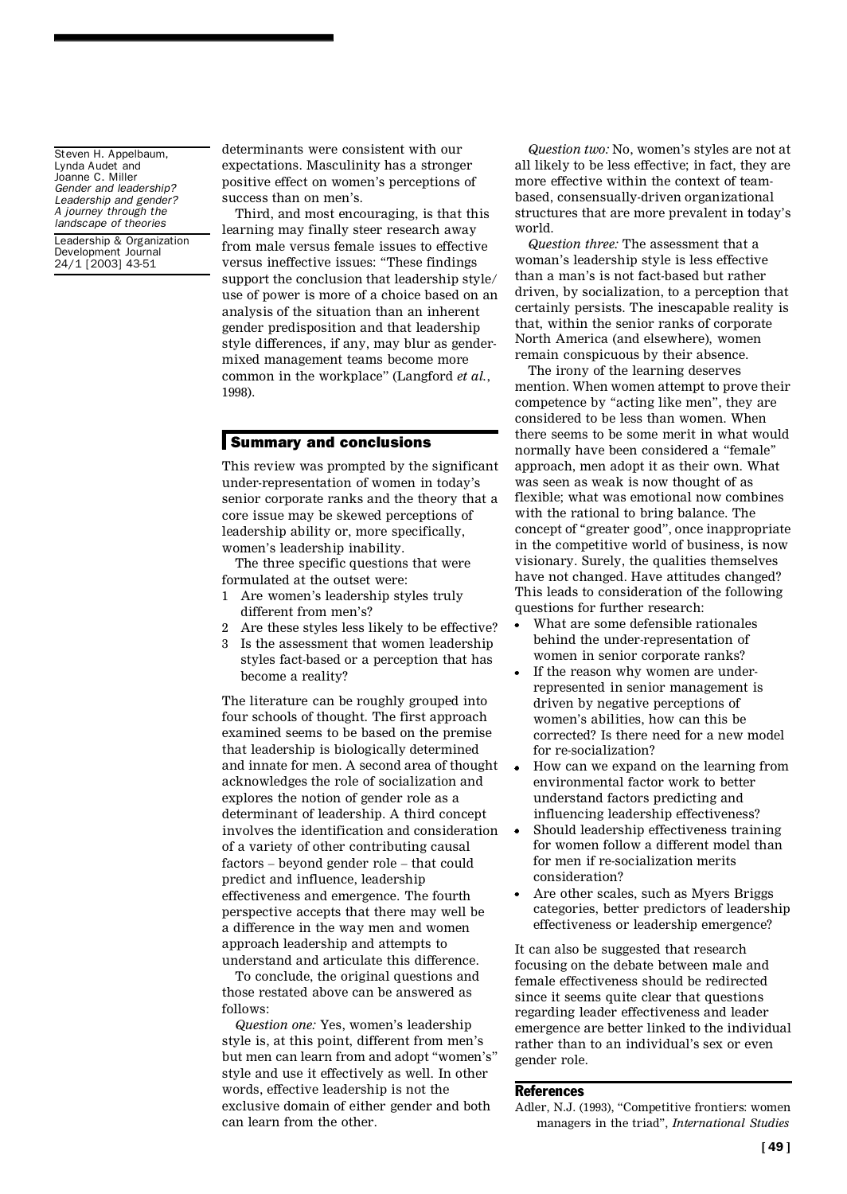Leadership & Organization Development Journal 24/1 [2003] 43-51

determinants were consistent with our expectations. Masculinity has a stronger positive effect on women's perceptions of success than on men's.

Third, and most encouraging, is that this learning may finally steer research away from male versus female issues to effective versus ineffective issues: "These findings support the conclusion that leadership style/ use of power is more of a choice based on an analysis of the situation than an inherent gender predisposition and that leadership style differences, if any, may blur as gendermixed management teams become more common in the workplace'' (Langford *et al.*, 1998).

# **Summary and conclusions**

This review was prompted by the significant under-representation of women in today's senior corporate ranks and the theory that a core issue may be skewed perceptions of leadership ability or, more specifically, women's leadership inability.

The three specific questions that were formulated at the outset were:

- 1 Are women's leadership styles truly different from men's?
- 2 Are these styles less likely to be effective?
- 3 Is the assessment that women leadership styles fact-based or a perception that has become a reality?

The literature can be roughly grouped into four schools of thought. The first approach examined seems to be based on the premise that leadership is biologically determined and innate for men. A second area of thought  $\bullet$ acknowledges the role of socialization and explores the notion of gender role as a determinant of leadership. A third concept involves the identification and consideration  $\bullet$ of a variety of other contributing causal  $factors - beyond gender role - that could$ predict and influence, leadership effectiveness and emergence. The fourth perspective accepts that there may well be a difference in the way men and women approach leadership and attempts to understand and articulate this difference.

To conclude, the original questions and those restated above can be answered as follows:

*Question one:* Yes, women's leadership style is, at this point, different from men's but men can learn from and adopt "women's" style and use it effectively as well. In other words, effective leadership is not the exclusive domain of either gender and both can learn from the other.

*Question two:* No, women's styles are not at all likely to be less effective; in fact, they are more effective within the context of teambased, consensually-driven organizational structures that are more prevalent in today's world.

*Question three:* The assessment that a woman's leadership style is less effective than a man's is not fact-based but rather driven, by socialization, to a perception that certainly persists. The inescapable reality is that, within the senior ranks of corporate North America (and elsewhere), women remain conspicuous by their absence.

The irony of the learning deserves mention. When women attempt to prove their competence by "acting like men", they are considered to be less than women. When there seems to be some merit in what would normally have been considered a "female" approach, men adopt it as their own. What was seen as weak is now thought of as flexible; what was emotional now combines with the rational to bring balance. The concept of ``greater good'', once inappropriate in the competitive world of business, is now visionary. Surely, the qualities themselves have not changed. Have attitudes changed? This leads to consideration of the following questions for further research:

- What are some defensible rationales behind the under-representation of women in senior corporate ranks?
- If the reason why women are underrepresented in senior management is driven by negative perceptions of women's abilities, how can this be corrected? Is there need for a new model for re-socialization?
- How can we expand on the learning from environmental factor work to better understand factors predicting and influencing leadership effectiveness?
- Should leadership effectiveness training for women follow a different model than for men if re-socialization merits consideration?
- Are other scales, such as Myers Briggs  $\bullet$ categories, better predictors of leadership effectiveness or leadership emergence?

It can also be suggested that research focusing on the debate between male and female effectiveness should be redirected since it seems quite clear that questions regarding leader effectiveness and leader emergence are better linked to the individual rather than to an individual's sex or even gender role.

#### **References**

Adler, N.J. (1993), "Competitive frontiers: women managers in the triad'', *International Studies*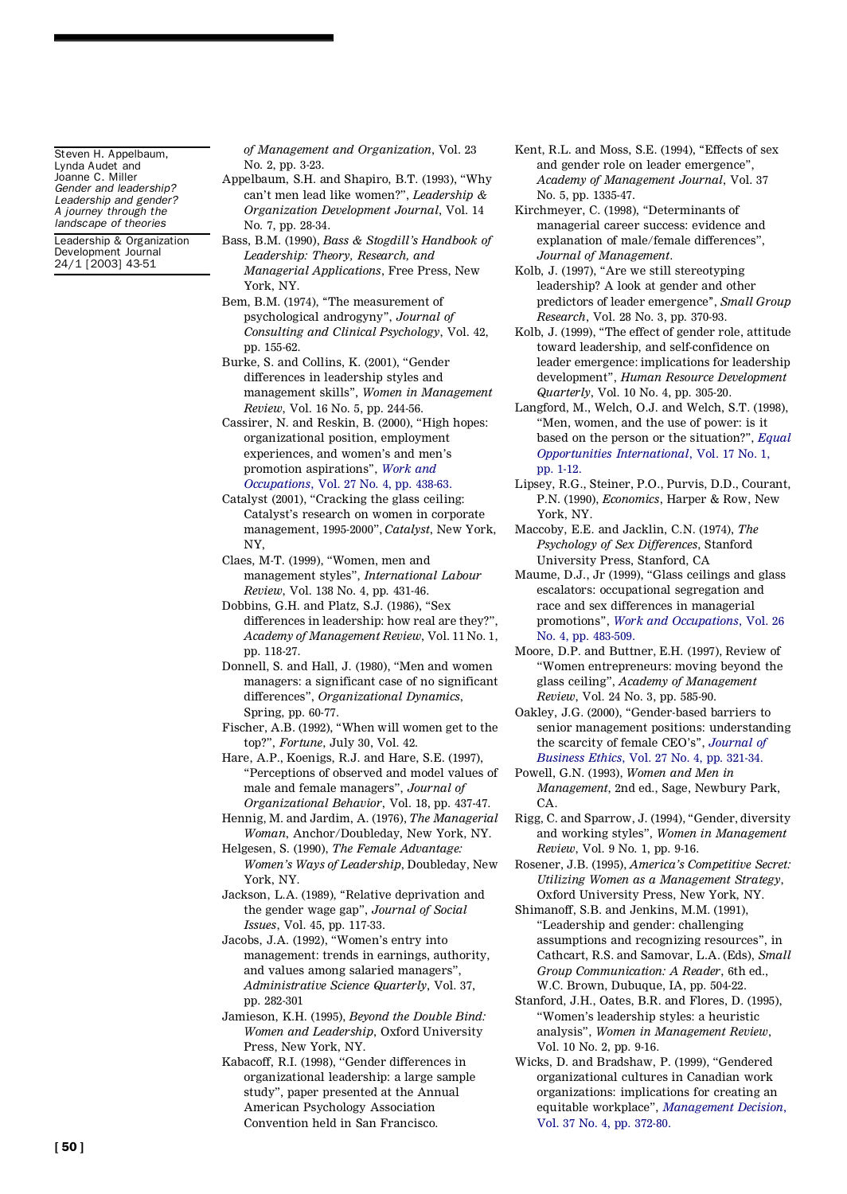Leadership & Organization Development Journal 24/1 [2003] 43-51

*of Management and Organization*, Vol. 23 No. 2, pp. 3-23.

- Appelbaum, S.H. and Shapiro, B.T. (1993), "Why can't men lead like women?'', *Leadership & Organization Development Journal*, Vol. 14 No. 7, pp. 28-34.
- Bass, B.M. (1990), *Bass & Stogdill's Handbook of Leadership: Theory, Research, and Managerial Applications*, Free Press, New York, NY.

Bem, B.M. (1974), "The measurement of psychological androgyny'', *Journal of Consulting and Clinical Psychology*, Vol. 42, pp. 155-62.

Burke, S. and Collins, K. (2001), "Gender differences in leadership styles and management skills'', *Women in Management Review*, Vol. 16 No. 5, pp. 244-56.

Cassirer, N. and Reskin, B. (2000), "High hopes: organizational position, employment experiences, and women's and men's promotion aspirations'', *[Work](http://rudolfo.emeraldinsight.com/nw=1/rpsv/cgi-bin/linker?ext=a&reqidx=/0730-8884^28^2927:4L.438[aid=3400562]) and [Occupations](http://rudolfo.emeraldinsight.com/nw=1/rpsv/cgi-bin/linker?ext=a&reqidx=/0730-8884^28^2927:4L.438[aid=3400562])*, Vol. 27 No. 4, pp. 438-63.

Catalyst (2001), "Cracking the glass ceiling: Catalyst's research on women in corporate management, 1995-2000'', *Catalyst*, New York, NY,

Claes, M-T. (1999), "Women, men and management styles'', *International Labour Review*, Vol. 138 No. 4, pp. 431-46.

- Dobbins, G.H. and Platz, S.J. (1986), "Sex differences in leadership: how real are they?'', *Academy of Management Review*, Vol. 11 No. 1, pp. 118-27.
- Donnell, S. and Hall, J. (1980), "Men and women managers: a significant case of no significant differences'', *Organizational Dynamics*, Spring, pp. 60-77.
- Fischer, A.B. (1992), "When will women get to the top?'', *Fortune*, July 30, Vol. 42.
- Hare, A.P., Koenigs, R.J. and Hare, S.E. (1997), ``Perceptions of observed and model values of male and female managers'', *Journal of Organizational Behavior*, Vol. 18, pp. 437-47.
- Hennig, M. and Jardim, A. (1976), *The Managerial Woman*, Anchor/Doubleday, New York, NY.
- Helgesen, S. (1990), *The Female Advantage: Women's Ways of Leadership*, Doubleday, New York, NY.
- Jackson, L.A. (1989), "Relative deprivation and the gender wage gap'', *Journal of Social Issues*, Vol. 45, pp. 117-33.

Jacobs, J.A. (1992), "Women's entry into management: trends in earnings, authority, and values among salaried managers'', *Administrative Science Quarterly*, Vol. 37, pp. 282-301

- Jamieson, K.H. (1995), *Beyond the Double Bind: Women and Leadership*, Oxford University Press, New York, NY.
- Kabacoff, R.I. (1998), "Gender differences in organizational leadership: a large sample study'', paper presented at the Annual American Psychology Association Convention held in San Francisco.
- Kent, R.L. and Moss, S.E. (1994), "Effects of sex and gender role on leader emergence'', *Academy of Management Journal*, Vol. 37 No. 5, pp. 1335-47.
- Kirchmeyer, C. (1998), "Determinants of managerial career success: evidence and explanation of male/female differences'', *Journal of Management*.
- Kolb, J. (1997), "Are we still stereotyping leadership? A look at gender and other predictors of leader emergence'', *Small Group Research*, Vol. 28 No. 3, pp. 370-93.
- Kolb, J. (1999), "The effect of gender role, attitude toward leadership, and self-confidence on leader emergence: implications for leadership development'', *Human Resource Development Quarterly*, Vol. 10 No. 4, pp. 305-20.
- Langford, M., Welch, O.J. and Welch, S.T. (1998), ``Men, women, and the use of power: is it based on the person or the situation?'', *[Equal](http://rudolfo.emeraldinsight.com/nw=1/rpsv/cgi-bin/linker?ext=a&reqidx=/0261-0159^28^2917:1L.1[aid=3400567]) [Opportunities](http://rudolfo.emeraldinsight.com/nw=1/rpsv/cgi-bin/linker?ext=a&reqidx=/0261-0159^28^2917:1L.1[aid=3400567]) International*, Vol. 17 No. 1, pp. [1-12.](http://rudolfo.emeraldinsight.com/nw=1/rpsv/cgi-bin/linker?ext=a&reqidx=/0261-0159^28^2917:1L.1[aid=3400567])
- Lipsey, R.G., Steiner, P.O., Purvis, D.D., Courant, P.N. (1990), *Economics*, Harper & Row, New York, NY.
- Maccoby, E.E. and Jacklin, C.N. (1974), *The Psychology of Sex Differences*, Stanford University Press, Stanford, CA
- Maume, D.J., Jr (1999), "Glass ceilings and glass escalators: occupational segregation and race and sex differences in managerial promotions'', *Work and [Occupations](http://rudolfo.emeraldinsight.com/nw=1/rpsv/cgi-bin/linker?ext=a&reqidx=/0730-8884^28^2926:4L.483[aid=3400568])*, Vol. 26 No. 4, pp. [483-509.](http://rudolfo.emeraldinsight.com/nw=1/rpsv/cgi-bin/linker?ext=a&reqidx=/0730-8884^28^2926:4L.483[aid=3400568])
- Moore, D.P. and Buttner, E.H. (1997), Review of ``Women entrepreneurs: moving beyond the glass ceiling'', *Academy of Management Review*, Vol. 24 No. 3, pp. 585-90.
- Oakley, J.G. (2000), "Gender-based barriers to senior management positions: understanding the scarcity of female CEO's'', *[Journal](http://rudolfo.emeraldinsight.com/nw=1/rpsv/cgi-bin/linker?ext=a&reqidx=/0167-4544^28^2927:4L.321[aid=3400570]) of [Business](http://rudolfo.emeraldinsight.com/nw=1/rpsv/cgi-bin/linker?ext=a&reqidx=/0167-4544^28^2927:4L.321[aid=3400570]) Ethics*, Vol. 27 No. 4, pp. 321-34.
- Powell, G.N. (1993), *Women and Men in Management*, 2nd ed., Sage, Newbury Park, CA.
- Rigg, C. and Sparrow, J. (1994), "Gender, diversity and working styles'', *Women in Management Review*, Vol. 9 No. 1, pp. 9-16.
- Rosener, J.B. (1995), *America's Competitive Secret: Utilizing Women as a Management Strategy*, Oxford University Press, New York, NY.
- Shimanoff, S.B. and Jenkins, M.M. (1991), ``Leadership and gender: challenging assumptions and recognizing resources'', in Cathcart, R.S. and Samovar, L.A. (Eds), *Small Group Communication: A Reader*, 6th ed., W.C. Brown, Dubuque, IA, pp. 504-22.
- Stanford, J.H., Oates, B.R. and Flores, D. (1995), ``Women's leadership styles: a heuristic analysis'', *Women in Management Review*, Vol. 10 No. 2, pp. 9-16.
- Wicks, D. and Bradshaw, P. (1999), "Gendered organizational cultures in Canadian work organizations: implications for creating an equitable workplace'', *[Management](http://rudolfo.emeraldinsight.com/nw=1/rpsv/cgi-bin/linker?ext=a&reqidx=/0025-1747^28^2937:4L.372[aid=3400571]) Decision*, Vol. 37 No. 4, pp. [372-80.](http://rudolfo.emeraldinsight.com/nw=1/rpsv/cgi-bin/linker?ext=a&reqidx=/0025-1747^28^2937:4L.372[aid=3400571])